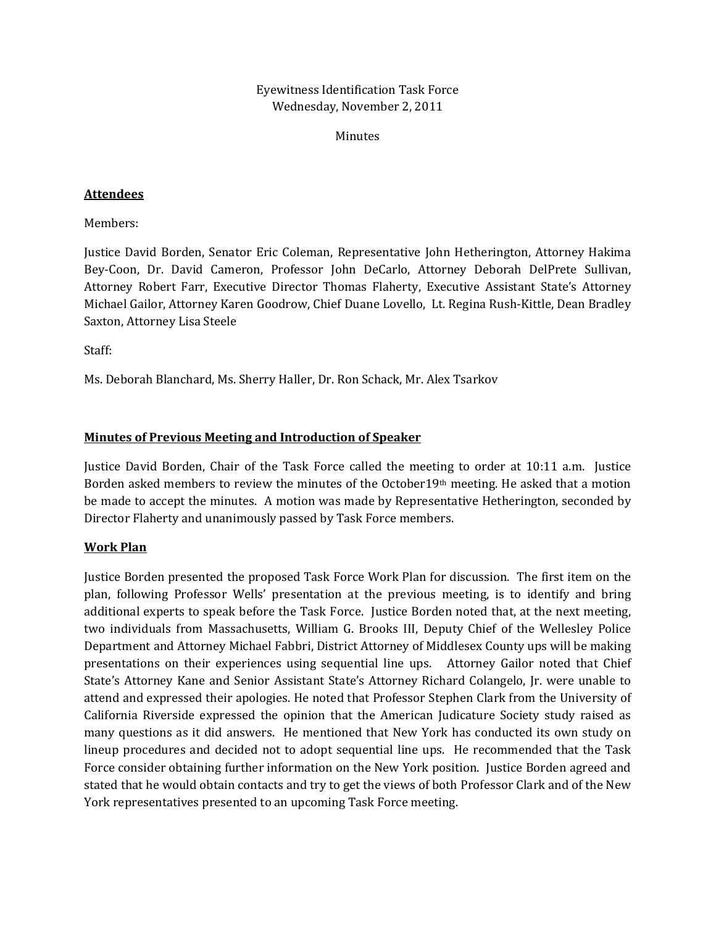Eyewitness Identification Task Force Wednesday, November 2, 2011

Minutes

# **Attendees**

Members:

Justice David Borden, Senator Eric Coleman, Representative John Hetherington, Attorney Hakima Bey‐Coon, Dr. David Cameron, Professor John DeCarlo, Attorney Deborah DelPrete Sullivan, Attorney Robert Farr, Executive Director Thomas Flaherty, Executive Assistant State's Attorney Michael Gailor, Attorney Karen Goodrow, Chief Duane Lovello, Lt. Regina Rush‐Kittle, Dean Bradley Saxton, Attorney Lisa Steele

Staff:

Ms. Deborah Blanchard, Ms. Sherry Haller, Dr. Ron Schack, Mr. Alex Tsarkov

### **Minutes of Previous Meeting and Introduction of Speaker**

Justice David Borden, Chair of the Task Force called the meeting to order at 10:11 a.m. Justice Borden asked members to review the minutes of the October19th meeting. He asked that a motion be made to accept the minutes. A motion was made by Representative Hetherington, seconded by Director Flaherty and unanimously passed by Task Force members.

### **Work Plan**

Justice Borden presented the proposed Task Force Work Plan for discussion. The first item on the plan, following Professor Wells' presentation at the previous meeting, is to identify and bring additional experts to speak before the Task Force. Justice Borden noted that, at the next meeting, two individuals from Massachusetts, William G. Brooks III, Deputy Chief of the Wellesley Police Department and Attorney Michael Fabbri, District Attorney of Middlesex County ups will be making presentations on their experiences using sequential line ups. Attorney Gailor noted that Chief State's Attorney Kane and Senior Assistant State's Attorney Richard Colangelo, Jr. were unable to attend and expressed their apologies. He noted that Professor Stephen Clark from the University of California Riverside expressed the opinion that the American Judicature Society study raised as many questions as it did answers. He mentioned that New York has conducted its own study on lineup procedures and decided not to adopt sequential line ups. He recommended that the Task Force consider obtaining further information on the New York position. Justice Borden agreed and stated that he would obtain contacts and try to get the views of both Professor Clark and of the New York representatives presented to an upcoming Task Force meeting.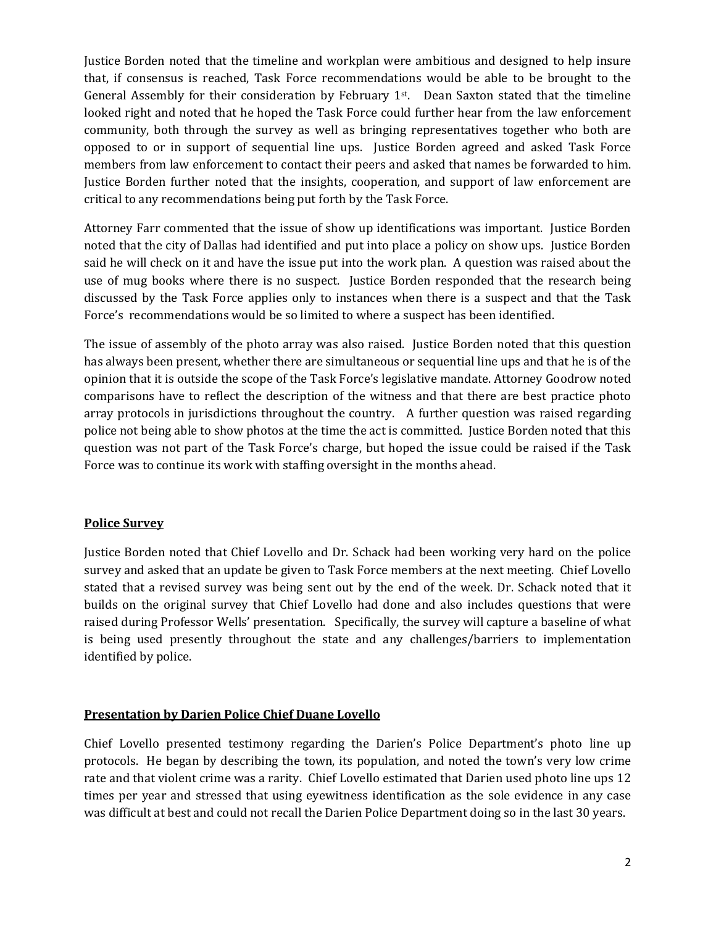Justice Borden noted that the timeline and workplan were ambitious and designed to help insure that, if consensus is reached, Task Force recommendations would be able to be brought to the General Assembly for their consideration by February  $1<sup>st</sup>$ . Dean Saxton stated that the timeline looked right and noted that he hoped the Task Force could further hear from the law enforcement community, both through the survey as well as bringing representatives together who both are opposed to or in support of sequential line ups. Justice Borden agreed and asked Task Force members from law enforcement to contact their peers and asked that names be forwarded to him. Justice Borden further noted that the insights, cooperation, and support of law enforcement are critical to any recommendations being put forth by the Task Force.

Attorney Farr commented that the issue of show up identifications was important. Justice Borden noted that the city of Dallas had identified and put into place a policy on show ups. Justice Borden said he will check on it and have the issue put into the work plan. A question was raised about the use of mug books where there is no suspect. Justice Borden responded that the research being discussed by the Task Force applies only to instances when there is a suspect and that the Task Force's recommendations would be so limited to where a suspect has been identified.

The issue of assembly of the photo array was also raised. Justice Borden noted that this question has always been present, whether there are simultaneous or sequential line ups and that he is of the opinion that it is outside the scope of the Task Force's legislative mandate. Attorney Goodrow noted comparisons have to reflect the description of the witness and that there are best practice photo array protocols in jurisdictions throughout the country. A further question was raised regarding police not being able to show photos at the time the act is committed. Justice Borden noted that this question was not part of the Task Force's charge, but hoped the issue could be raised if the Task Force was to continue its work with staffing oversight in the months ahead.

# **Police Survey**

Justice Borden noted that Chief Lovello and Dr. Schack had been working very hard on the police survey and asked that an update be given to Task Force members at the next meeting. Chief Lovello stated that a revised survey was being sent out by the end of the week. Dr. Schack noted that it builds on the original survey that Chief Lovello had done and also includes questions that were raised during Professor Wells' presentation. Specifically, the survey will capture a baseline of what is being used presently throughout the state and any challenges/barriers to implementation identified by police.

# **Presentation by Darien Police Chief Duane Lovello**

Chief Lovello presented testimony regarding the Darien's Police Department's photo line up protocols. He began by describing the town, its population, and noted the town's very low crime rate and that violent crime was a rarity. Chief Lovello estimated that Darien used photo line ups 12 times per year and stressed that using eyewitness identification as the sole evidence in any case was difficult at best and could not recall the Darien Police Department doing so in the last 30 years.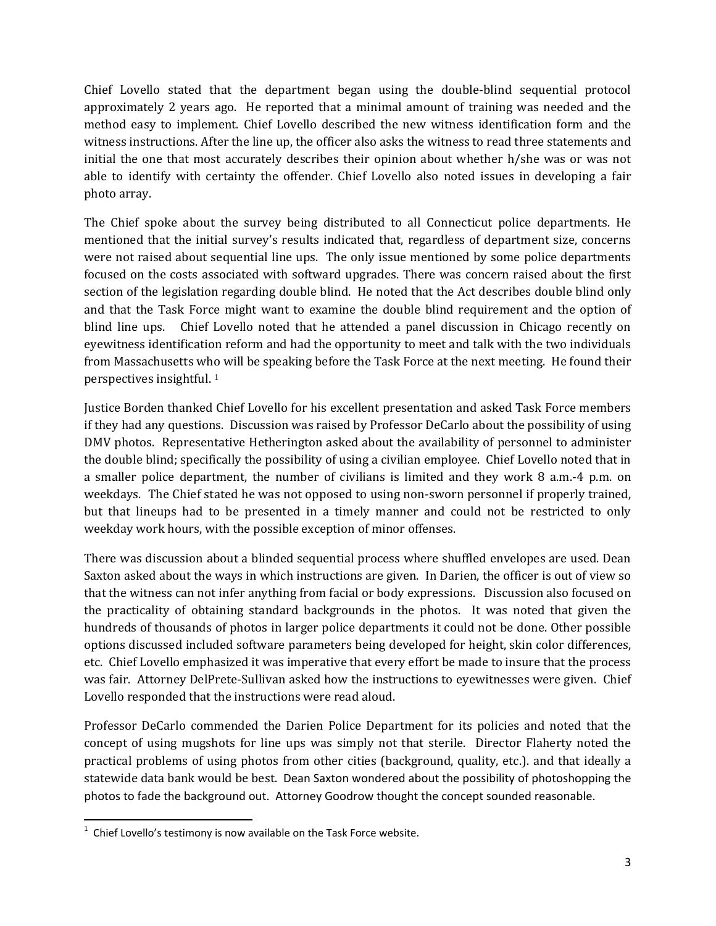Chief Lovello stated that the department began using the double‐blind sequential protocol approximately 2 years ago. He reported that a minimal amount of training was needed and the method easy to implement. Chief Lovello described the new witness identification form and the witness instructions. After the line up, the officer also asks the witness to read three statements and initial the one that most accurately describes their opinion about whether h/she was or was not able to identify with certainty the offender. Chief Lovello also noted issues in developing a fair photo array.

The Chief spoke about the survey being distributed to all Connecticut police departments. He mentioned that the initial survey's results indicated that, regardless of department size, concerns were not raised about sequential line ups. The only issue mentioned by some police departments focused on the costs associated with softward upgrades. There was concern raised about the first section of the legislation regarding double blind. He noted that the Act describes double blind only and that the Task Force might want to examine the double blind requirement and the option of blind line ups. Chief Lovello noted that he attended a panel discussion in Chicago recently on eyewitness identification reform and had the opportunity to meet and talk with the two individuals from Massachusetts who will be speaking before the Task Force at the next meeting. He found their perspectives insightful. 1

Justice Borden thanked Chief Lovello for his excellent presentation and asked Task Force members if they had any questions. Discussion was raised by Professor DeCarlo about the possibility of using DMV photos. Representative Hetherington asked about the availability of personnel to administer the double blind; specifically the possibility of using a civilian employee. Chief Lovello noted that in a smaller police department, the number of civilians is limited and they work 8 a.m.‐4 p.m. on weekdays. The Chief stated he was not opposed to using non‐sworn personnel if properly trained, but that lineups had to be presented in a timely manner and could not be restricted to only weekday work hours, with the possible exception of minor offenses.

There was discussion about a blinded sequential process where shuffled envelopes are used. Dean Saxton asked about the ways in which instructions are given. In Darien, the officer is out of view so that the witness can not infer anything from facial or body expressions. Discussion also focused on the practicality of obtaining standard backgrounds in the photos. It was noted that given the hundreds of thousands of photos in larger police departments it could not be done. Other possible options discussed included software parameters being developed for height, skin color differences, etc. Chief Lovello emphasized it was imperative that every effort be made to insure that the process was fair. Attorney DelPrete-Sullivan asked how the instructions to eyewitnesses were given. Chief Lovello responded that the instructions were read aloud.

Professor DeCarlo commended the Darien Police Department for its policies and noted that the concept of using mugshots for line ups was simply not that sterile. Director Flaherty noted the practical problems of using photos from other cities (background, quality, etc.). and that ideally a statewide data bank would be best. Dean Saxton wondered about the possibility of photoshopping the photos to fade the background out. Attorney Goodrow thought the concept sounded reasonable.

 1 Chief Lovello's testimony is now available on the Task Force website.